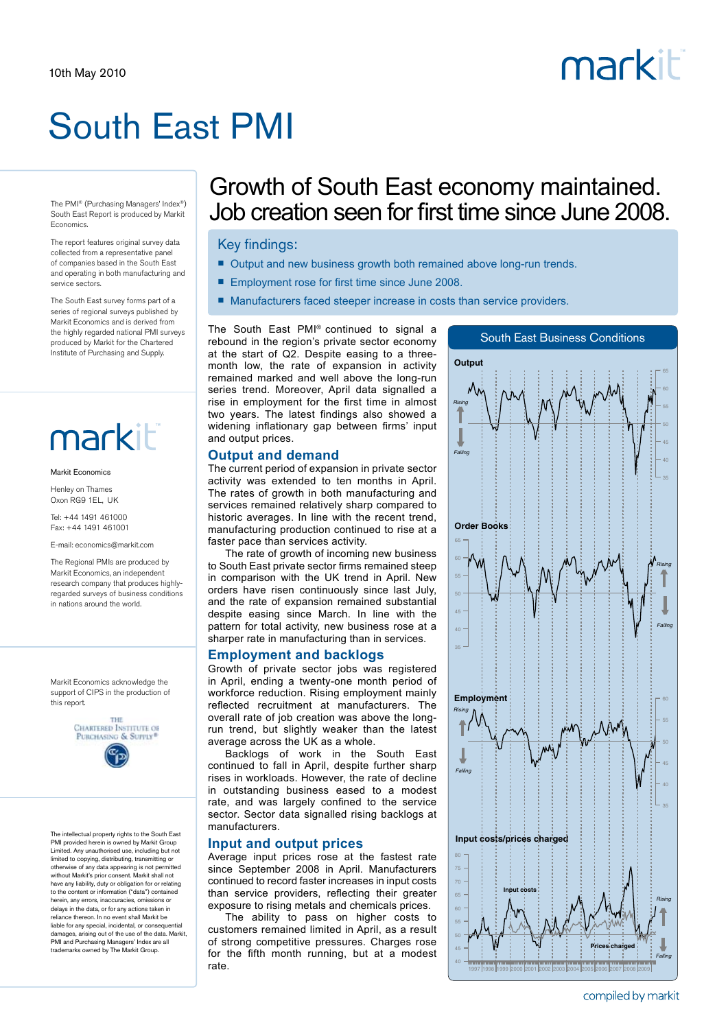# South East PMI

The PMI® (Purchasing Managers' Index®) South East Report is produced by Markit Economics.

The report features original survey data collected from a representative panel of companies based in the South East and operating in both manufacturing and service sectors.

The South East survey forms part of a series of regional surveys published by Markit Economics and is derived from the highly regarded national PMI surveys produced by Markit for the Chartered Institute of Purchasing and Supply.

## markiti

#### Markit Economics

Henley on Thames Oxon RG9 1EL, UK

Tel: +44 1491 461000 Fax: +44 1491 461001

E-mail: economics@markit.com

The Regional PMIs are produced by Markit Economics, an independent research company that produces highlyregarded surveys of business conditions in nations around the world.

Markit Economics acknowledge the support of CIPS in the production of this report.



The intellectual property rights to the South East PMI provided herein is owned by Markit Group Limited. Any unauthorised use, including but not limited to copying, distributing, transmitting or otherwise of any data appearing is not permitted without Markit's prior consent. Markit shall not have any liability, duty or obligation for or relating to the content or information ("data") contained herein, any errors, inaccuracies, omissions or delays in the data, or for any actions taken in reliance thereon. In no event shall Markit be liable for any special, incidental, or consequential damages, arising out of the use of the data. Markit PMI and Purchasing Managers' Index are all trademarks owned by The Markit Group.

### Growth of South East economy maintained. Job creation seen for first time since June 2008.

#### Key findings:

- Output and new business growth both remained above long-run trends.
- Employment rose for first time since June 2008.
- Manufacturers faced steeper increase in costs than service providers.

The South East PMI® continued to signal a rebound in the region's private sector economy at the start of Q2. Despite easing to a threemonth low, the rate of expansion in activity remained marked and well above the long-run series trend. Moreover, April data signalled a rise in employment for the first time in almost two years. The latest findings also showed a widening inflationary gap between firms' input and output prices.

#### **Output and demand**

The current period of expansion in private sector activity was extended to ten months in April. The rates of growth in both manufacturing and services remained relatively sharp compared to historic averages. In line with the recent trend, manufacturing production continued to rise at a faster pace than services activity.

The rate of growth of incoming new business to South East private sector firms remained steep in comparison with the UK trend in April. New orders have risen continuously since last July, and the rate of expansion remained substantial despite easing since March. In line with the pattern for total activity, new business rose at a sharper rate in manufacturing than in services.

#### **Employment and backlogs**

Growth of private sector jobs was registered in April, ending a twenty-one month period of workforce reduction. Rising employment mainly reflected recruitment at manufacturers. The overall rate of job creation was above the longrun trend, but slightly weaker than the latest average across the UK as a whole.

Backlogs of work in the South East continued to fall in April, despite further sharp rises in workloads. However, the rate of decline in outstanding business eased to a modest rate, and was largely confined to the service sector. Sector data signalled rising backlogs at manufacturers.

#### **Input and output prices**

Average input prices rose at the fastest rate since September 2008 in April. Manufacturers continued to record faster increases in input costs than service providers, reflecting their greater exposure to rising metals and chemicals prices.

The ability to pass on higher costs to customers remained limited in April, as a result of strong competitive pressures. Charges rose for the fifth month running, but at a modest rate.



compiled by markit

# markiti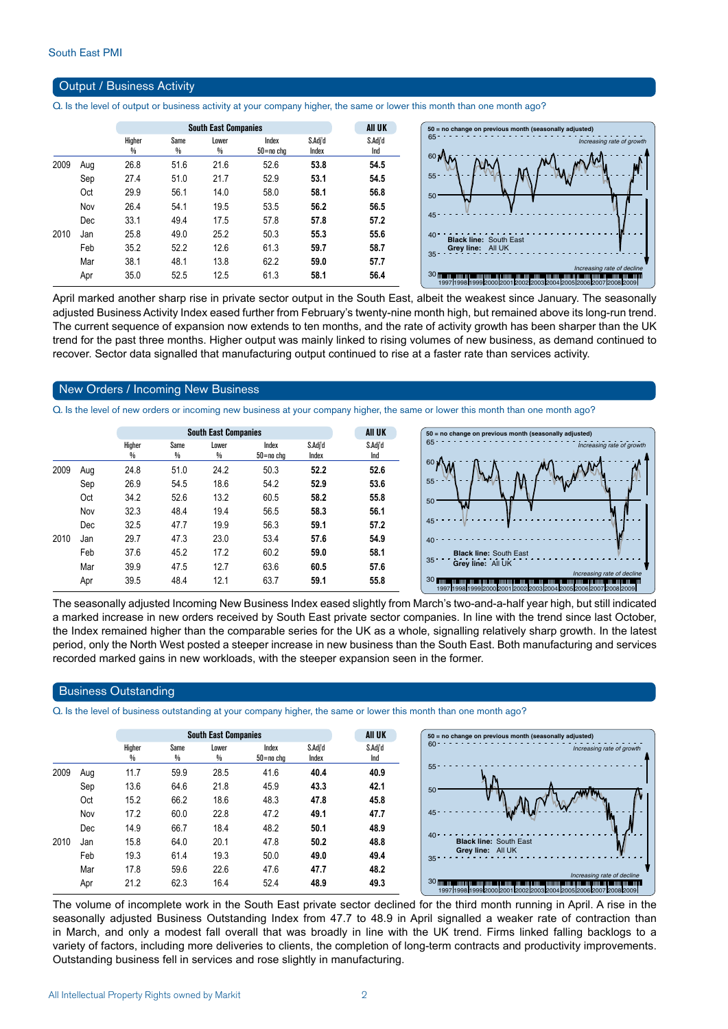#### Output / Business Activity

Q. Is the level of output or business activity at your company higher, the same or lower this month than one month ago?

|      |     |             |           | AII UK     |                    |                  |                |
|------|-----|-------------|-----------|------------|--------------------|------------------|----------------|
|      |     | Higher<br>% | Same<br>% | Lower<br>% | Index<br>50=no cha | S.Adj'd<br>Index | S.Adj'd<br>Ind |
| 2009 | Aug | 26.8        | 51.6      | 21.6       | 52.6               | 53.8             | 54.5           |
|      | Sep | 27.4        | 51.0      | 21.7       | 52.9               | 53.1             | 54.5           |
|      | Oct | 29.9        | 56.1      | 14.0       | 58.0               | 58.1             | 56.8           |
|      | Nov | 26.4        | 54.1      | 19.5       | 53.5               | 56.2             | 56.5           |
|      | Dec | 33.1        | 49.4      | 17.5       | 57.8               | 57.8             | 57.2           |
| 2010 | Jan | 25.8        | 49.0      | 25.2       | 50.3               | 55.3             | 55.6           |
|      | Feb | 35.2        | 52.2      | 12.6       | 61.3               | 59.7             | 58.7           |
|      | Mar | 38.1        | 48.1      | 13.8       | 62.2               | 59.0             | 57.7           |
|      | Apr | 35.0        | 52.5      | 12.5       | 61.3               | 58.1             | 56.4           |



April marked another sharp rise in private sector output in the South East, albeit the weakest since January. The seasonally adjusted Business Activity Index eased further from February's twenty-nine month high, but remained above its long-run trend. The current sequence of expansion now extends to ten months, and the rate of activity growth has been sharper than the UK trend for the past three months. Higher output was mainly linked to rising volumes of new business, as demand continued to recover. Sector data signalled that manufacturing output continued to rise at a faster rate than services activity.

#### New Orders / Incoming New Business

Q. Is the level of new orders or incoming new business at your company higher, the same or lower this month than one month ago?

|      |            |                         |           | <b>South East Companies</b> |                        | <b>AII UK</b>    | $50 = no$ chang |                                |
|------|------------|-------------------------|-----------|-----------------------------|------------------------|------------------|-----------------|--------------------------------|
|      |            | Higher<br>$\frac{0}{0}$ | Same<br>% | Lower<br>$\frac{0}{0}$      | Index<br>$50 = no$ chg | S.Adj'd<br>Index | S.Adj'd<br>Ind  | 65                             |
| 2009 | Aug        | 24.8                    | 51.0      | 24.2                        | 50.3                   | 52.2             | 52.6            | 60 <sub>1</sub>                |
|      | Sep        | 26.9                    | 54.5      | 18.6                        | 54.2                   | 52.9             | 53.6            | $55 -$                         |
|      | Oct        | 34.2                    | 52.6      | 13.2                        | 60.5                   | 58.2             | 55.8            | 50                             |
|      | Nov        | 32.3                    | 48.4      | 19.4                        | 56.5                   | 58.3             | 56.1            |                                |
|      | <b>Dec</b> | 32.5                    | 47.7      | 19.9                        | 56.3                   | 59.1             | 57.2            | 45                             |
| 2010 | Jan        | 29.7                    | 47.3      | 23.0                        | 53.4                   | 57.6             | 54.9            | 40                             |
|      | Feb        | 37.6                    | 45.2      | 17.2                        | 60.2                   | 59.0             | 58.1            | <b>Blac</b><br>35              |
|      | Mar        | 39.9                    | 47.5      | 12.7                        | 63.6                   | 60.5             | 57.6            | Grey                           |
|      | Apr        | 39.5                    | 48.4      | 12.1                        | 63.7                   | 59.1             | 55.8            | <b>30 mmmmmmm</b><br>1997 1998 |



The seasonally adjusted Incoming New Business Index eased slightly from March's two-and-a-half year high, but still indicated a marked increase in new orders received by South East private sector companies. In line with the trend since last October, the Index remained higher than the comparable series for the UK as a whole, signalling relatively sharp growth. In the latest period, only the North West posted a steeper increase in new business than the South East. Both manufacturing and services recorded marked gains in new workloads, with the steeper expansion seen in the former.

#### Business Outstanding

Q. Is the level of business outstanding at your company higher, the same or lower this month than one month ago?

|      |     |             | <b>South East Companies</b> |            |                    |                  |                |  |  |
|------|-----|-------------|-----------------------------|------------|--------------------|------------------|----------------|--|--|
|      |     | Higher<br>% | Same<br>%                   | Lower<br>% | Index<br>50=no cha | S.Adj'd<br>Index | S.Adj'd<br>Ind |  |  |
| 2009 | Aug | 11.7        | 59.9                        | 28.5       | 41.6               | 40.4             | 40.9           |  |  |
|      | Sep | 13.6        | 64.6                        | 21.8       | 45.9               | 43.3             | 42.1           |  |  |
|      | Oct | 15.2        | 66.2                        | 18.6       | 48.3               | 47.8             | 45.8           |  |  |
|      | Nov | 17.2        | 60.0                        | 22.8       | 47.2               | 49.1             | 47.7           |  |  |
|      | Dec | 14.9        | 66.7                        | 18.4       | 48.2               | 50.1             | 48.9           |  |  |
| 2010 | Jan | 15.8        | 64.0                        | 20.1       | 47.8               | 50.2             | 48.8           |  |  |
|      | Feb | 19.3        | 61.4                        | 19.3       | 50.0               | 49.0             | 49.4           |  |  |
|      | Mar | 17.8        | 59.6                        | 22.6       | 47.6               | 47.7             | 48.2           |  |  |
|      | Apr | 21.2        | 62.3                        | 16.4       | 52.4               | 48.9             | 49.3           |  |  |

The volume of incomplete work in the South East private sector declined for the third month running in April. A rise in the seasonally adjusted Business Outstanding Index from 47.7 to 48.9 in April signalled a weaker rate of contraction than in March, and only a modest fall overall that was broadly in line with the UK trend. Firms linked falling backlogs to a variety of factors, including more deliveries to clients, the completion of long-term contracts and productivity improvements. Outstanding business fell in services and rose slightly in manufacturing.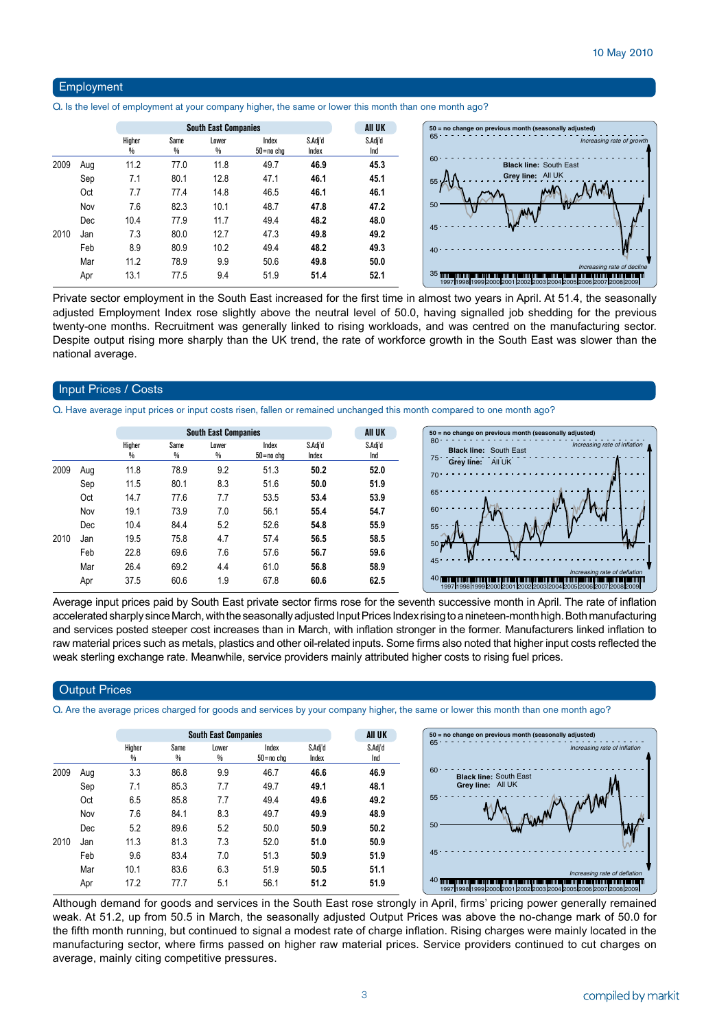#### Employment

Q. Is the level of employment at your company higher, the same or lower this month than one month ago?

|      |     |             | <b>South East Companies</b> |            | All UK             |                  |                |
|------|-----|-------------|-----------------------------|------------|--------------------|------------------|----------------|
|      |     | Higher<br>₩ | Same<br>%                   | Lower<br>₩ | Index<br>50=no chg | S.Adj'd<br>Index | S.Adj'd<br>Ind |
| 2009 | Aug | 11.2        | 77.0                        | 11.8       | 49.7               | 46.9             | 45.3           |
|      | Sep | 7.1         | 80.1                        | 12.8       | 47.1               | 46.1             | 45.1           |
|      | Oct | 7.7         | 77.4                        | 14.8       | 46.5               | 46.1             | 46.1           |
|      | Nov | 7.6         | 82.3                        | 10.1       | 48.7               | 47.8             | 47.2           |
|      | Dec | 10.4        | 77.9                        | 11.7       | 49.4               | 48.2             | 48.0           |
| 2010 | Jan | 7.3         | 80.0                        | 12.7       | 47.3               | 49.8             | 49.2           |
|      | Feb | 8.9         | 80.9                        | 10.2       | 49.4               | 48.2             | 49.3           |
|      | Mar | 11.2        | 78.9                        | 9.9        | 50.6               | 49.8             | 50.0           |
|      | Apr | 13.1        | 77.5                        | 9.4        | 51.9               | 51.4             | 52.1           |

Private sector employment in the South East increased for the first time in almost two years in April. At 51.4, the seasonally adjusted Employment Index rose slightly above the neutral level of 50.0, having signalled job shedding for the previous twenty-one months. Recruitment was generally linked to rising workloads, and was centred on the manufacturing sector. Despite output rising more sharply than the UK trend, the rate of workforce growth in the South East was slower than the national average.

#### Input Prices / Costs

Q. Have average input prices or input costs risen, fallen or remained unchanged this month compared to one month ago?

|      |            |        |           | <b>South East Companies</b> |                    |                  | <b>All UK</b>  | 50 = no change on previous month (seasonally adjusted)                                                                                                                                                                                       |
|------|------------|--------|-----------|-----------------------------|--------------------|------------------|----------------|----------------------------------------------------------------------------------------------------------------------------------------------------------------------------------------------------------------------------------------------|
|      |            | Higher | Same<br>% | Lower<br>%                  | Index<br>50=no cha | S.Adj'd<br>Index | S.Adj'd<br>Ind | 80<br>Increasing rate of inflation<br><b>Black line: South East</b><br>$75 -$                                                                                                                                                                |
| 2009 | Aug        | 11.8   | 78.9      | 9.2                         | 51.3               | 50.2             | 52.0           | Grey line:<br>All UK<br>$70 -$                                                                                                                                                                                                               |
|      | Sep        | 11.5   | 80.1      | 8.3                         | 51.6               | 50.0             | 51.9           |                                                                                                                                                                                                                                              |
|      | Oct        | 14.7   | 77.6      | 7.7                         | 53.5               | 53.4             | 53.9           | 65                                                                                                                                                                                                                                           |
|      | Nov        | 19.1   | 73.9      | 7.0                         | 56.1               | 55.4             | 54.7           | 60                                                                                                                                                                                                                                           |
|      | <b>Dec</b> | 10.4   | 84.4      | 5.2                         | 52.6               | 54.8             | 55.9           | 55                                                                                                                                                                                                                                           |
| 2010 | Jan        | 19.5   | 75.8      | 4.7                         | 57.4               | 56.5             | 58.5           | $50 \frac{1}{2}$                                                                                                                                                                                                                             |
|      | Feb        | 22.8   | 69.6      | 7.6                         | 57.6               | 56.7             | 59.6           |                                                                                                                                                                                                                                              |
|      | Mar        | 26.4   | 69.2      | 4.4                         | 61.0               | 56.8             | 58.9           | $45 -$                                                                                                                                                                                                                                       |
|      | Apr        | 37.5   | 60.6      | 1.9                         | 67.8               | 60.6             | 62.5           | Increasing rate of deflation<br>40 <sub>1</sub><br><u> 1999 - Andrea San Andrea San Andrea San Andrea San Andrea San Andrea San Andrea San Andrea San Andrea San An</u><br>19971199811999120001200112002120031200412005120061200712008120091 |

Average input prices paid by South East private sector firms rose for the seventh successive month in April. The rate of inflation accelerated sharply since March, with the seasonally adjusted Input Prices Index rising to a nineteen-month high. Both manufacturing and services posted steeper cost increases than in March, with inflation stronger in the former. Manufacturers linked inflation to raw material prices such as metals, plastics and other oil-related inputs. Some firms also noted that higher input costs reflected the weak sterling exchange rate. Meanwhile, service providers mainly attributed higher costs to rising fuel prices.

#### **Output Prices**

Q. Are the average prices charged for goods and services by your company higher, the same or lower this month than one month ago?

|      |     |             | <b>South East Companies</b> |            | All UK             |                  |                |
|------|-----|-------------|-----------------------------|------------|--------------------|------------------|----------------|
|      |     | Higher<br>% | Same<br>%                   | Lower<br>% | Index<br>50=no cha | S.Adj'd<br>Index | S.Adj'd<br>Ind |
| 2009 | Aug | 3.3         | 86.8                        | 9.9        | 46.7               | 46.6             | 46.9           |
|      | Sep | 7.1         | 85.3                        | 7.7        | 49.7               | 49.1             | 48.1           |
|      | Oct | 6.5         | 85.8                        | 7.7        | 49.4               | 49.6             | 49.2           |
|      | Nov | 7.6         | 84.1                        | 8.3        | 49.7               | 49.9             | 48.9           |
|      | Dec | 5.2         | 89.6                        | 5.2        | 50.0               | 50.9             | 50.2           |
| 2010 | Jan | 11.3        | 81.3                        | 7.3        | 52.0               | 51.0             | 50.9           |
|      | Feb | 9.6         | 83.4                        | 7.0        | 51.3               | 50.9             | 51.9           |
|      | Mar | 10.1        | 83.6                        | 6.3        | 51.9               | 50.5             | 51.1           |
|      | Apr | 17.2        | 77.7                        | 5.1        | 56.1               | 51.2             | 51.9           |

Although demand for goods and services in the South East rose strongly in April, firms' pricing power generally remained weak. At 51.2, up from 50.5 in March, the seasonally adjusted Output Prices was above the no-change mark of 50.0 for the fifth month running, but continued to signal a modest rate of charge inflation. Rising charges were mainly located in the manufacturing sector, where firms passed on higher raw material prices. Service providers continued to cut charges on average, mainly citing competitive pressures.